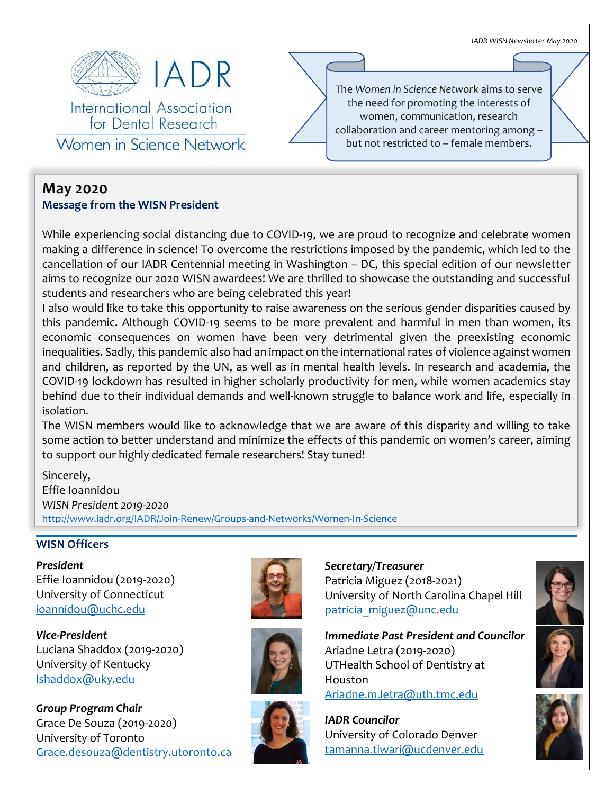*IADR WISN Newsletter May 2020*



International Association for Dental Research

Women in Science Network

# **May 2020**

## **Message from the WISN President**

While experiencing social distancing due to COVID-19, we are proud to recognize and celebrate women making a difference in science! To overcome the restrictions imposed by the pandemic, which led to the cancellation of our IADR Centennial meeting in Washington – DC, this special edition of our newsletter aims to recognize our 2020 WISN awardees! We are thrilled to showcase the outstanding and successful students and researchers who are being celebrated this year!

I also would like to take this opportunity to raise awareness on the serious gender disparities caused by this pandemic. Although COVID-19 seems to be more prevalent and harmful in men than women, its economic consequences on women have been very detrimental given the preexisting economic inequalities. Sadly, this pandemic also had an impact on the international rates of violence against women and children, as reported by the UN, as well as in mental health levels. In research and academia, the COVID-19 lockdown has resulted in higher scholarly productivity for men, while women academics stay behind due to their individual demands and well-known struggle to balance work and life, especially in isolation.

The WISN members would like to acknowledge that we are aware of this disparity and willing to take some action to better understand and minimize the effects of this pandemic on women's career, aiming to support our highly dedicated female researchers! Stay tuned!

Sincerely, Effie Ioannidou *WISN President 2019-2020* <http://www.iadr.org/IADR/Join-Renew/Groups-and-Networks/Women-In-Science>

#### **WISN Officers**

*President* Effie Ioannidou (2019-2020) University of Connecticut [ioannidou@uchc.edu](mailto:ioannidou@uchc.edu)

*Vice-President* Luciana Shaddox (2019-2020) University of Kentucky [lshaddox@uky.edu](mailto:lshaddox@uky.edu)

*Group Program Chair* Grace De Souza (2019-2020) University of Toronto [Grace.desouza@dentistry.utoronto.ca](mailto:Grace.desouza@dentistry.utoronto.ca)





*Secretary/Treasurer* Patricia Miguez (2018-2021) University of North Carolina Chapel Hill patricia miguez@unc.edu

*Immediate Past President and Councilor* Ariadne Letra (2019-2020) UTHealth School of Dentistry at Houston

[Ariadne.m.letra@uth.tmc.edu](mailto:Ariadne.m.letra@uth.tmc.edu)



*IADR Councilor* University of Colorado Denver [tamanna.tiwari@ucdenver.edu](mailto:tamanna.tiwari@ucdenver.edu)





The *Women in Science Network* aims to serve the need for promoting the interests of women, communication, research collaboration and career mentoring among – but not restricted to – female members.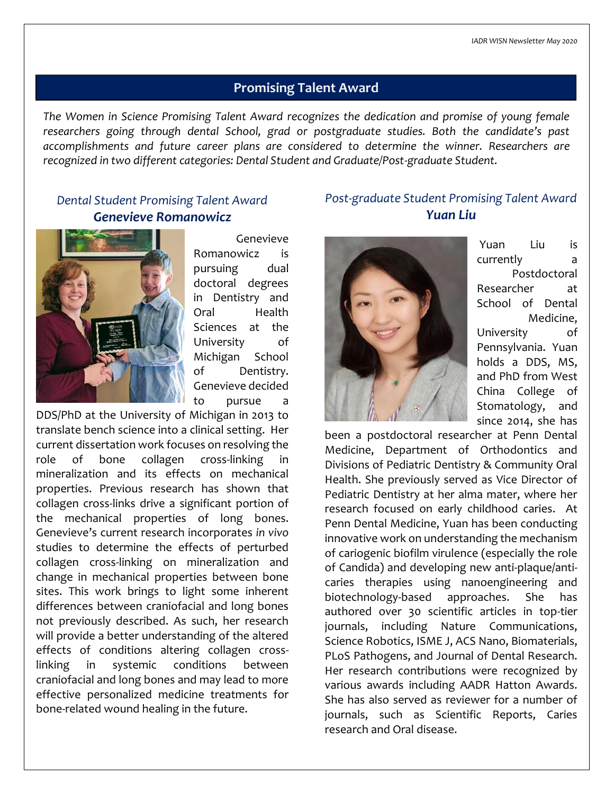## **Promising Talent Award**

*The Women in Science Promising Talent Award recognizes the dedication and promise of young female researchers going through dental School, grad or postgraduate studies. Both the candidate's past accomplishments and future career plans are considered to determine the winner. Researchers are recognized in two different categories: Dental Student and Graduate/Post-graduate Student.*

## *Dental Student Promising Talent Award Genevieve Romanowicz*



Genevieve Romanowicz is pursuing dual doctoral degrees in Dentistry and Oral Health Sciences at the University of Michigan School of Dentistry. Genevieve decided to pursue a

DDS/PhD at the University of Michigan in 2013 to translate bench science into a clinical setting. Her current dissertation work focuses on resolving the role of bone collagen cross-linking in mineralization and its effects on mechanical properties. Previous research has shown that collagen cross-links drive a significant portion of the mechanical properties of long bones. Genevieve's current research incorporates *in vivo* studies to determine the effects of perturbed collagen cross-linking on mineralization and change in mechanical properties between bone sites. This work brings to light some inherent differences between craniofacial and long bones not previously described. As such, her research will provide a better understanding of the altered effects of conditions altering collagen crosslinking in systemic conditions between craniofacial and long bones and may lead to more effective personalized medicine treatments for bone-related wound healing in the future.

## *Post-graduate Student Promising Talent Award Yuan Liu*



Yuan Liu is currently a Postdoctoral Researcher at School of Dental Medicine, University of Pennsylvania. Yuan holds a DDS, MS, and PhD from West China College of Stomatology, and since 2014, she has

been a postdoctoral researcher at Penn Dental Medicine, Department of Orthodontics and Divisions of Pediatric Dentistry & Community Oral Health. She previously served as Vice Director of Pediatric Dentistry at her alma mater, where her research focused on early childhood caries. At Penn Dental Medicine, Yuan has been conducting innovative work on understanding the mechanism of cariogenic biofilm virulence (especially the role of Candida) and developing new anti-plaque/anticaries therapies using nanoengineering and biotechnology-based approaches. She has authored over 30 scientific articles in top-tier journals, including Nature Communications, Science Robotics, ISME J, ACS Nano, Biomaterials, PLoS Pathogens, and Journal of Dental Research. Her research contributions were recognized by various awards including AADR Hatton Awards. She has also served as reviewer for a number of journals, such as Scientific Reports, Caries research and Oral disease.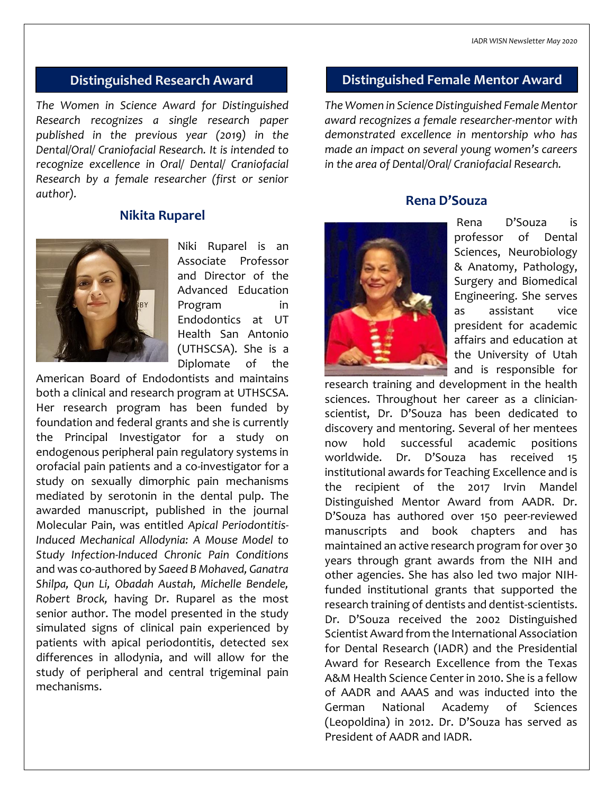*The Women in Science Award for Distinguished Research recognizes a single research paper published in the previous year (2019) in the Dental/Oral/ Craniofacial Research. It is intended to recognize excellence in Oral/ Dental/ Craniofacial Research by a female researcher (first or senior author).*

### **Nikita Ruparel**



Niki Ruparel is an Associate Professor and Director of the Advanced Education Program in Endodontics at UT Health San Antonio (UTHSCSA). She is a Diplomate of the

American Board of Endodontists and maintains both a clinical and research program at UTHSCSA. Her research program has been funded by foundation and federal grants and she is currently the Principal Investigator for a study on endogenous peripheral pain regulatory systems in orofacial pain patients and a co-investigator for a study on sexually dimorphic pain mechanisms mediated by serotonin in the dental pulp. The awarded manuscript, published in the journal Molecular Pain, was entitled *Apical Periodontitis-Induced Mechanical Allodynia: A Mouse Model to Study Infection-Induced Chronic Pain Conditions* and was co-authored by *Saeed B Mohaved, Ganatra Shilpa, Qun Li, Obadah Austah, Michelle Bendele, Robert Brock,* having Dr. Ruparel as the most senior author. The model presented in the study simulated signs of clinical pain experienced by patients with apical periodontitis, detected sex differences in allodynia, and will allow for the study of peripheral and central trigeminal pain mechanisms.

## **Distinguished Research Award Distinguished Female Mentor Award**

*The Women in Science Distinguished Female Mentor award recognizes a female researcher-mentor with demonstrated excellence in mentorship who has made an impact on several young women's careers in the area of Dental/Oral/ Craniofacial Research.*

### **Rena D'Souza**



Rena D'Souza is professor of Dental Sciences, Neurobiology & Anatomy, Pathology, Surgery and Biomedical Engineering. She serves as assistant vice president for academic affairs and education at the University of Utah and is responsible for

research training and development in the health sciences. Throughout her career as a clinicianscientist, Dr. D'Souza has been dedicated to discovery and mentoring. Several of her mentees now hold successful academic positions worldwide. Dr. D'Souza has received 15 institutional awards for Teaching Excellence and is the recipient of the 2017 Irvin Mandel Distinguished Mentor Award from AADR. Dr. D'Souza has authored over 150 peer-reviewed manuscripts and book chapters and has maintained an active research program for over 30 years through grant awards from the NIH and other agencies. She has also led two major NIHfunded institutional grants that supported the research training of dentists and dentist-scientists. Dr. D'Souza received the 2002 Distinguished Scientist Award from the International Association for Dental Research (IADR) and the Presidential Award for Research Excellence from the Texas A&M Health Science Center in 2010. She is a fellow of AADR and AAAS and was inducted into the German National Academy of Sciences (Leopoldina) in 2012. Dr. D'Souza has served as President of AADR and IADR.